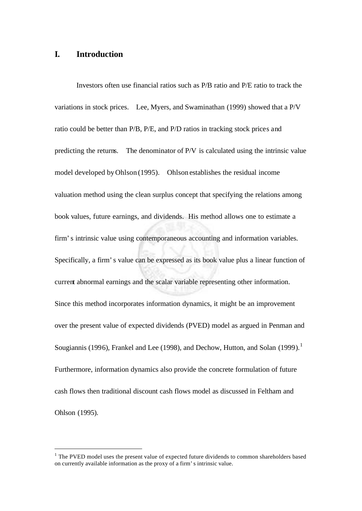## **I. Introduction**

l

Investors often use financial ratios such as P/B ratio and P/E ratio to track the variations in stock prices. Lee, Myers, and Swaminathan (1999) showed that a P/V ratio could be better than P/B, P/E, and P/D ratios in tracking stock prices and predicting the returns. The denominator of P/V is calculated using the intrinsic value model developed by Ohlson (1995). Ohlson establishes the residual income valuation method using the clean surplus concept that specifying the relations among book values, future earnings, and dividends. His method allows one to estimate a firm's intrinsic value using contemporaneous accounting and information variables. Specifically, a firm's value can be expressed as its book value plus a linear function of current abnormal earnings and the scalar variable representing other information. Since this method incorporates information dynamics, it might be an improvement over the present value of expected dividends (PVED) model as argued in Penman and Sougiannis (1996), Frankel and Lee (1998), and Dechow, Hutton, and Solan (1999).<sup>1</sup> Furthermore, information dynamics also provide the concrete formulation of future cash flows then traditional discount cash flows model as discussed in Feltham and Ohlson (1995).

<sup>&</sup>lt;sup>1</sup> The PVED model uses the present value of expected future dividends to common shareholders based on currently available information as the proxy of a firm's intrinsic value.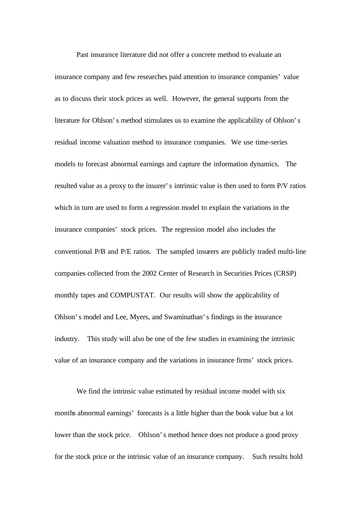Past insurance literature did not offer a concrete method to evaluate an insurance company and few researches paid attention to insurance companies' value as to discuss their stock prices as well. However, the general supports from the literature for Ohlson's method stimulates us to examine the applicability of Ohlson's residual income valuation method to insurance companies. We use time-series models to forecast abnormal earnings and capture the information dynamics. The resulted value as a proxy to the insurer's intrinsic value is then used to form P/V ratios which in turn are used to form a regression model to explain the variations in the insurance companies' stock prices. The regression model also includes the conventional P/B and P/E ratios. The sampled insurers are publicly traded multi-line companies collected from the 2002 Center of Research in Securities Prices (CRSP) monthly tapes and COMPUSTAT. Our results will show the applicability of Ohlson's model and Lee, Myers, and Swaminathan's findings in the insurance industry. This study will also be one of the few studies in examining the intrinsic value of an insurance company and the variations in insurance firms' stock prices.

We find the intrinsic value estimated by residual income model with six months abnormal earnings' forecasts is a little higher than the book value but a lot lower than the stock price. Ohlson's method hence does not produce a good proxy for the stock price or the intrinsic value of an insurance company. Such results hold